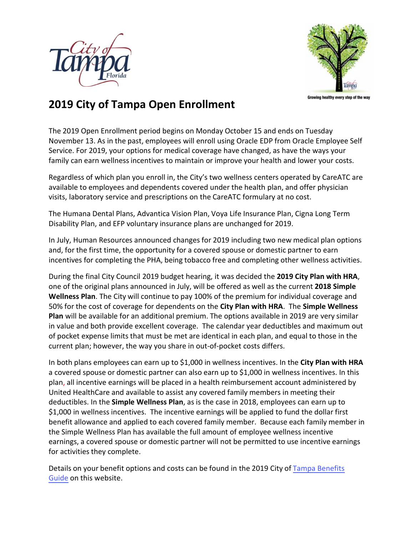



Growing healthy every step of the way

## **2019 City of Tampa Open Enrollment**

The 2019 Open Enrollment period begins on Monday October 15 and ends on Tuesday November 13. As in the past, employees will enroll using Oracle EDP from Oracle Employee Self Service. For 2019, your options for medical coverage have changed, as have the ways your family can earn wellnessincentives to maintain or improve your health and lower your costs.

Regardless of which plan you enroll in, the City's two wellness centers operated by CareATC are available to employees and dependents covered under the health plan, and offer physician visits, laboratory service and prescriptions on the CareATC formulary at no cost.

The Humana Dental Plans, Advantica Vision Plan, Voya Life Insurance Plan, Cigna Long Term Disability Plan, and EFP voluntary insurance plans are unchanged for 2019.

In July, Human Resources announced changes for 2019 including two new medical plan options and, for the first time, the opportunity for a covered spouse or domestic partner to earn incentives for completing the PHA, being tobacco free and completing other wellness activities.

During the final City Council 2019 budget hearing, it was decided the **2019 City Plan with HRA**, one of the original plans announced in July, will be offered as well as the current **2018 Simple Wellness Plan**. The City will continue to pay 100% of the premium for individual coverage and 50% for the cost of coverage for dependents on the **City Plan with HRA**. The **Simple Wellness Plan** will be available for an additional premium. The options available in 2019 are very similar in value and both provide excellent coverage. The calendar year deductibles and maximum out of pocket expense limits that must be met are identical in each plan, and equal to those in the current plan; however, the way you share in out-of-pocket costs differs.

In both plans employees can earn up to \$1,000 in wellness incentives. In the **City Plan with HRA** a covered spouse or domestic partner can also earn up to \$1,000 in wellness incentives. In this plan, all incentive earnings will be placed in a health reimbursement account administered by United HealthCare and available to assist any covered family members in meeting their deductibles. In the **Simple Wellness Plan**, as is the case in 2018, employees can earn up to \$1,000 in wellness incentives. The incentive earnings will be applied to fund the dollar first benefit allowance and applied to each covered family member. Because each family member in the Simple Wellness Plan has available the full amount of employee wellness incentive earnings, a covered spouse or domestic partner will not be permitted to use incentive earnings for activities they complete.

[Details on your benefit options and costs can be found in the](https://www.tampagov.net/sites/default/files/human-resources/files/cot-2019-benefits-guide-v18.pdf) 2019 City of Tampa Benefits Guide on this website.